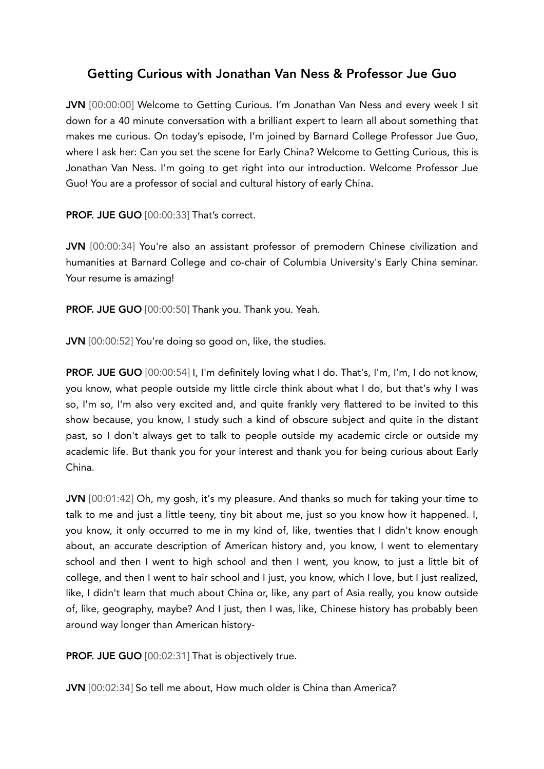# Getting Curious with Jonathan Van Ness & Professor Jue Guo

JVN [00:00:00] Welcome to Getting Curious. I'm Jonathan Van Ness and every week I sit down for a 40 minute conversation with a brilliant expert to learn all about something that makes me curious. On today's episode, I'm joined by Barnard College Professor Jue Guo, where I ask her: Can you set the scene for Early China? Welcome to Getting Curious, this is Jonathan Van Ness. I'm going to get right into our introduction. Welcome Professor Jue Guo! You are a professor of social and cultural history of early China.

PROF. JUE GUO [00:00:33] That's correct.

JVN [00:00:34] You're also an assistant professor of premodern Chinese civilization and humanities at Barnard College and co-chair of Columbia University's Early China seminar. Your resume is amazing!

PROF. JUE GUO [00:00:50] Thank you. Thank you. Yeah.

JVN [00:00:52] You're doing so good on, like, the studies.

PROF. JUE GUO [00:00:54] I, I'm definitely loving what I do. That's, I'm, I'm, I do not know, you know, what people outside my little circle think about what I do, but that's why I was so, I'm so, I'm also very excited and, and quite frankly very flattered to be invited to this show because, you know, I study such a kind of obscure subject and quite in the distant past, so I don't always get to talk to people outside my academic circle or outside my academic life. But thank you for your interest and thank you for being curious about Early China.

JVN [00:01:42] Oh, my gosh, it's my pleasure. And thanks so much for taking your time to talk to me and just a little teeny, tiny bit about me, just so you know how it happened. I, you know, it only occurred to me in my kind of, like, twenties that I didn't know enough about, an accurate description of American history and, you know, I went to elementary school and then I went to high school and then I went, you know, to just a little bit of college, and then I went to hair school and I just, you know, which I love, but I just realized, like, I didn't learn that much about China or, like, any part of Asia really, you know outside of, like, geography, maybe? And I just, then I was, like, Chinese history has probably been around way longer than American history-

PROF. JUE GUO [00:02:31] That is objectively true.

JVN [00:02:34] So tell me about, How much older is China than America?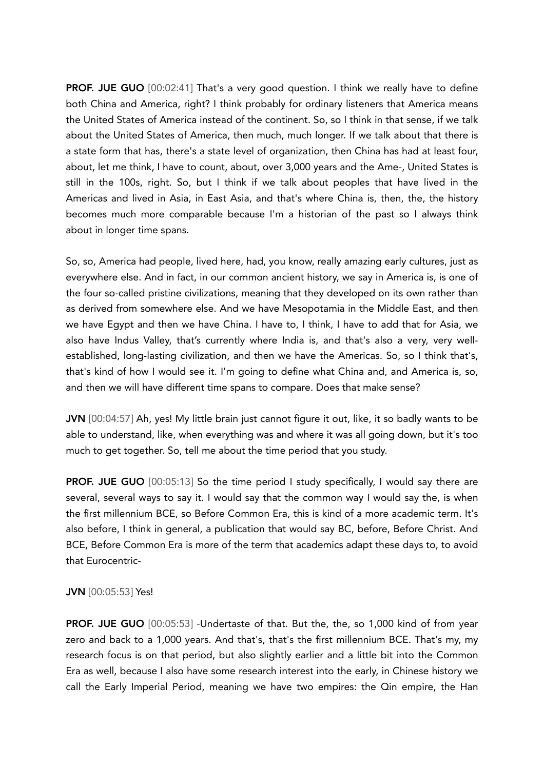PROF. JUE GUO [00:02:41] That's a very good question. I think we really have to define both China and America, right? I think probably for ordinary listeners that America means the United States of America instead of the continent. So, so I think in that sense, if we talk about the United States of America, then much, much longer. If we talk about that there is a state form that has, there's a state level of organization, then China has had at least four, about, let me think, I have to count, about, over 3,000 years and the Ame-, United States is still in the 100s, right. So, but I think if we talk about peoples that have lived in the Americas and lived in Asia, in East Asia, and that's where China is, then, the, the history becomes much more comparable because I'm a historian of the past so I always think about in longer time spans.

So, so, America had people, lived here, had, you know, really amazing early cultures, just as everywhere else. And in fact, in our common ancient history, we say in America is, is one of the four so-called pristine civilizations, meaning that they developed on its own rather than as derived from somewhere else. And we have Mesopotamia in the Middle East, and then we have Egypt and then we have China. I have to, I think, I have to add that for Asia, we also have Indus Valley, that's currently where India is, and that's also a very, very wellestablished, long-lasting civilization, and then we have the Americas. So, so I think that's, that's kind of how I would see it. I'm going to define what China and, and America is, so, and then we will have different time spans to compare. Does that make sense?

JVN [00:04:57] Ah, yes! My little brain just cannot figure it out, like, it so badly wants to be able to understand, like, when everything was and where it was all going down, but it's too much to get together. So, tell me about the time period that you study.

**PROF. JUE GUO** [00:05:13] So the time period I study specifically, I would say there are several, several ways to say it. I would say that the common way I would say the, is when the first millennium BCE, so Before Common Era, this is kind of a more academic term. It's also before, I think in general, a publication that would say BC, before, Before Christ. And BCE, Before Common Era is more of the term that academics adapt these days to, to avoid that Eurocentric-

# JVN [00:05:53] Yes!

PROF. JUE GUO [00:05:53] -Undertaste of that. But the, the, so 1,000 kind of from year zero and back to a 1,000 years. And that's, that's the first millennium BCE. That's my, my research focus is on that period, but also slightly earlier and a little bit into the Common Era as well, because I also have some research interest into the early, in Chinese history we call the Early Imperial Period, meaning we have two empires: the Qin empire, the Han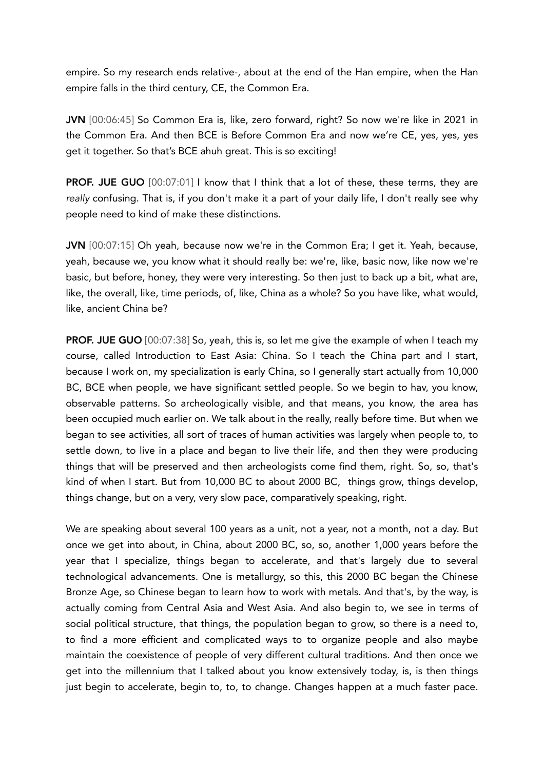empire. So my research ends relative-, about at the end of the Han empire, when the Han empire falls in the third century, CE, the Common Era.

JVN [00:06:45] So Common Era is, like, zero forward, right? So now we're like in 2021 in the Common Era. And then BCE is Before Common Era and now we're CE, yes, yes, yes get it together. So that's BCE ahuh great. This is so exciting!

**PROF. JUE GUO** [00:07:01] I know that I think that a lot of these, these terms, they are *really* confusing. That is, if you don't make it a part of your daily life, I don't really see why people need to kind of make these distinctions.

JVN [00:07:15] Oh yeah, because now we're in the Common Era; I get it. Yeah, because, yeah, because we, you know what it should really be: we're, like, basic now, like now we're basic, but before, honey, they were very interesting. So then just to back up a bit, what are, like, the overall, like, time periods, of, like, China as a whole? So you have like, what would, like, ancient China be?

**PROF. JUE GUO** [00:07:38] So, yeah, this is, so let me give the example of when I teach my course, called Introduction to East Asia: China. So I teach the China part and I start, because I work on, my specialization is early China, so I generally start actually from 10,000 BC, BCE when people, we have significant settled people. So we begin to hav, you know, observable patterns. So archeologically visible, and that means, you know, the area has been occupied much earlier on. We talk about in the really, really before time. But when we began to see activities, all sort of traces of human activities was largely when people to, to settle down, to live in a place and began to live their life, and then they were producing things that will be preserved and then archeologists come find them, right. So, so, that's kind of when I start. But from 10,000 BC to about 2000 BC, things grow, things develop, things change, but on a very, very slow pace, comparatively speaking, right.

We are speaking about several 100 years as a unit, not a year, not a month, not a day. But once we get into about, in China, about 2000 BC, so, so, another 1,000 years before the year that I specialize, things began to accelerate, and that's largely due to several technological advancements. One is metallurgy, so this, this 2000 BC began the Chinese Bronze Age, so Chinese began to learn how to work with metals. And that's, by the way, is actually coming from Central Asia and West Asia. And also begin to, we see in terms of social political structure, that things, the population began to grow, so there is a need to, to find a more efficient and complicated ways to to organize people and also maybe maintain the coexistence of people of very different cultural traditions. And then once we get into the millennium that I talked about you know extensively today, is, is then things just begin to accelerate, begin to, to, to change. Changes happen at a much faster pace.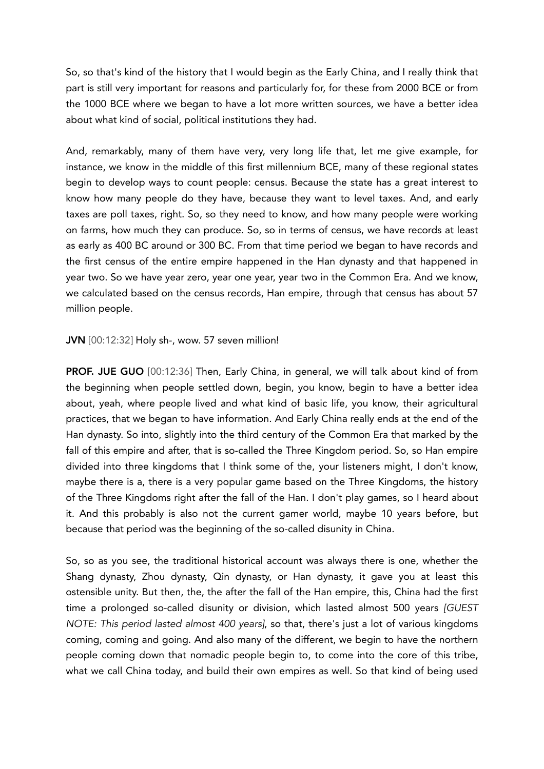So, so that's kind of the history that I would begin as the Early China, and I really think that part is still very important for reasons and particularly for, for these from 2000 BCE or from the 1000 BCE where we began to have a lot more written sources, we have a better idea about what kind of social, political institutions they had.

And, remarkably, many of them have very, very long life that, let me give example, for instance, we know in the middle of this first millennium BCE, many of these regional states begin to develop ways to count people: census. Because the state has a great interest to know how many people do they have, because they want to level taxes. And, and early taxes are poll taxes, right. So, so they need to know, and how many people were working on farms, how much they can produce. So, so in terms of census, we have records at least as early as 400 BC around or 300 BC. From that time period we began to have records and the first census of the entire empire happened in the Han dynasty and that happened in year two. So we have year zero, year one year, year two in the Common Era. And we know, we calculated based on the census records, Han empire, through that census has about 57 million people.

## JVN [00:12:32] Holy sh-, wow. 57 seven million!

**PROF. JUE GUO** [00:12:36] Then, Early China, in general, we will talk about kind of from the beginning when people settled down, begin, you know, begin to have a better idea about, yeah, where people lived and what kind of basic life, you know, their agricultural practices, that we began to have information. And Early China really ends at the end of the Han dynasty. So into, slightly into the third century of the Common Era that marked by the fall of this empire and after, that is so-called the Three Kingdom period. So, so Han empire divided into three kingdoms that I think some of the, your listeners might, I don't know, maybe there is a, there is a very popular game based on the Three Kingdoms, the history of the Three Kingdoms right after the fall of the Han. I don't play games, so I heard about it. And this probably is also not the current gamer world, maybe 10 years before, but because that period was the beginning of the so-called disunity in China.

So, so as you see, the traditional historical account was always there is one, whether the Shang dynasty, Zhou dynasty, Qin dynasty, or Han dynasty, it gave you at least this ostensible unity. But then, the, the after the fall of the Han empire, this, China had the first time a prolonged so-called disunity or division, which lasted almost 500 years *[GUEST NOTE: This period lasted almost 400 years]*, so that, there's just a lot of various kingdoms coming, coming and going. And also many of the different, we begin to have the northern people coming down that nomadic people begin to, to come into the core of this tribe, what we call China today, and build their own empires as well. So that kind of being used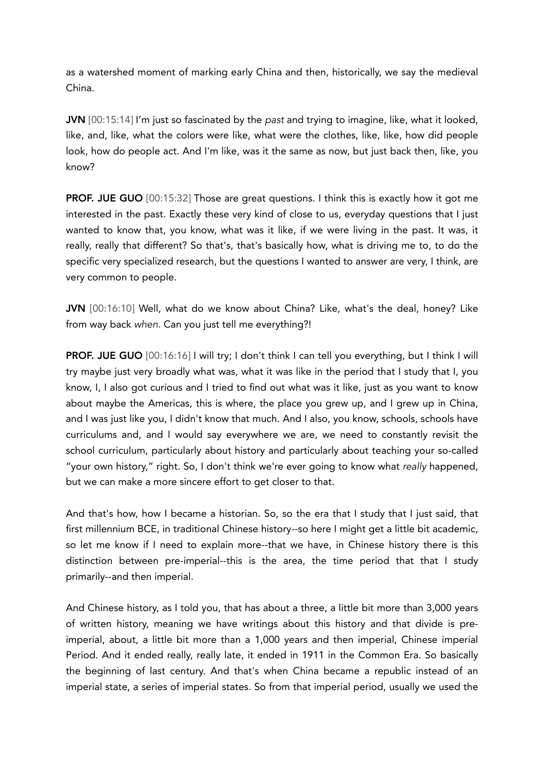as a watershed moment of marking early China and then, historically, we say the medieval China.

JVN [00:15:14] I'm just so fascinated by the *past* and trying to imagine, like, what it looked, like, and, like, what the colors were like, what were the clothes, like, like, how did people look, how do people act. And I'm like, was it the same as now, but just back then, like, you know?

PROF. JUE GUO [00:15:32] Those are great questions. I think this is exactly how it got me interested in the past. Exactly these very kind of close to us, everyday questions that I just wanted to know that, you know, what was it like, if we were living in the past. It was, it really, really that different? So that's, that's basically how, what is driving me to, to do the specific very specialized research, but the questions I wanted to answer are very, I think, are very common to people.

JVN [00:16:10] Well, what do we know about China? Like, what's the deal, honey? Like from way back *when.* Can you just tell me everything?!

PROF. JUE GUO [00:16:16] I will try; I don't think I can tell you everything, but I think I will try maybe just very broadly what was, what it was like in the period that I study that I, you know, I, I also got curious and I tried to find out what was it like, just as you want to know about maybe the Americas, this is where, the place you grew up, and I grew up in China, and I was just like you, I didn't know that much. And I also, you know, schools, schools have curriculums and, and I would say everywhere we are, we need to constantly revisit the school curriculum, particularly about history and particularly about teaching your so-called "your own history," right. So, I don't think we're ever going to know what *really* happened, but we can make a more sincere effort to get closer to that.

And that's how, how I became a historian. So, so the era that I study that I just said, that first millennium BCE, in traditional Chinese history--so here I might get a little bit academic, so let me know if I need to explain more--that we have, in Chinese history there is this distinction between pre-imperial--this is the area, the time period that that I study primarily--and then imperial.

And Chinese history, as I told you, that has about a three, a little bit more than 3,000 years of written history, meaning we have writings about this history and that divide is preimperial, about, a little bit more than a 1,000 years and then imperial, Chinese imperial Period. And it ended really, really late, it ended in 1911 in the Common Era. So basically the beginning of last century. And that's when China became a republic instead of an imperial state, a series of imperial states. So from that imperial period, usually we used the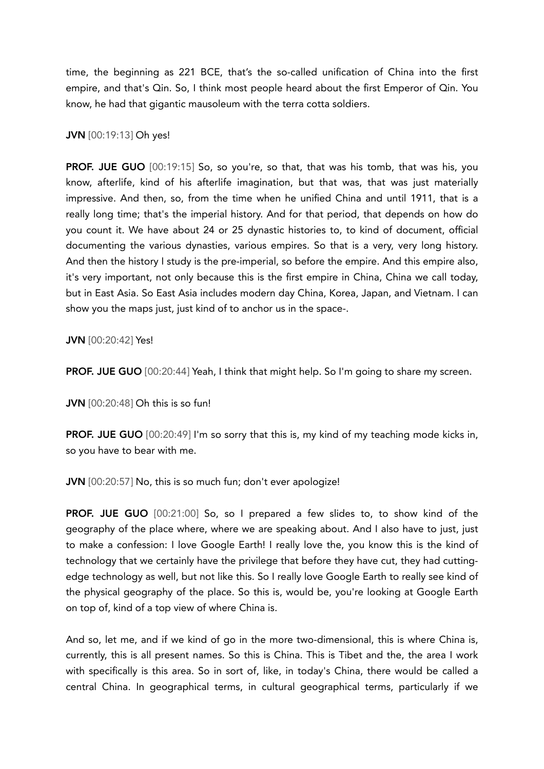time, the beginning as 221 BCE, that's the so-called unification of China into the first empire, and that's Qin. So, I think most people heard about the first Emperor of Qin. You know, he had that gigantic mausoleum with the terra cotta soldiers.

## JVN [00:19:13] Oh yes!

PROF. JUE GUO [00:19:15] So, so you're, so that, that was his tomb, that was his, you know, afterlife, kind of his afterlife imagination, but that was, that was just materially impressive. And then, so, from the time when he unified China and until 1911, that is a really long time; that's the imperial history. And for that period, that depends on how do you count it. We have about 24 or 25 dynastic histories to, to kind of document, official documenting the various dynasties, various empires. So that is a very, very long history. And then the history I study is the pre-imperial, so before the empire. And this empire also, it's very important, not only because this is the first empire in China, China we call today, but in East Asia. So East Asia includes modern day China, Korea, Japan, and Vietnam. I can show you the maps just, just kind of to anchor us in the space-.

JVN [00:20:42] Yes!

**PROF. JUE GUO** [00:20:44] Yeah, I think that might help. So I'm going to share my screen.

JVN [00:20:48] Oh this is so fun!

PROF. JUE GUO [00:20:49] I'm so sorry that this is, my kind of my teaching mode kicks in, so you have to bear with me.

JVN [00:20:57] No, this is so much fun; don't ever apologize!

PROF. JUE GUO [00:21:00] So, so I prepared a few slides to, to show kind of the geography of the place where, where we are speaking about. And I also have to just, just to make a confession: I love Google Earth! I really love the, you know this is the kind of technology that we certainly have the privilege that before they have cut, they had cuttingedge technology as well, but not like this. So I really love Google Earth to really see kind of the physical geography of the place. So this is, would be, you're looking at Google Earth on top of, kind of a top view of where China is.

And so, let me, and if we kind of go in the more two-dimensional, this is where China is, currently, this is all present names. So this is China. This is Tibet and the, the area I work with specifically is this area. So in sort of, like, in today's China, there would be called a central China. In geographical terms, in cultural geographical terms, particularly if we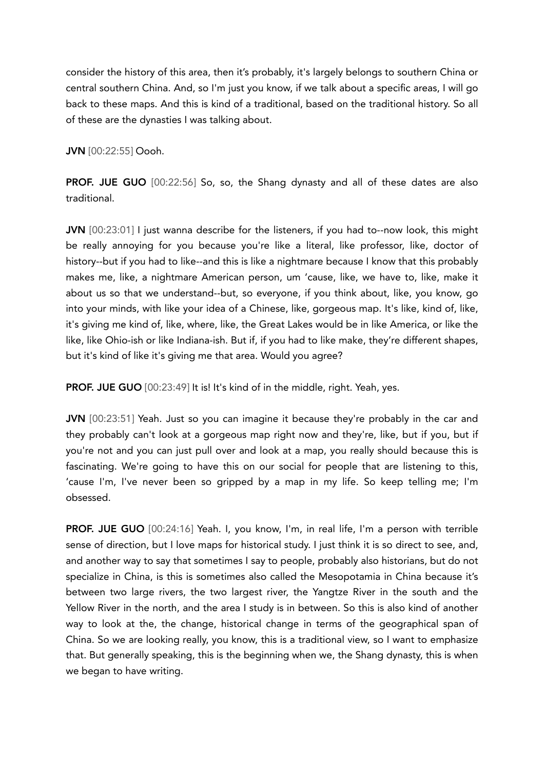consider the history of this area, then it's probably, it's largely belongs to southern China or central southern China. And, so I'm just you know, if we talk about a specific areas, I will go back to these maps. And this is kind of a traditional, based on the traditional history. So all of these are the dynasties I was talking about.

JVN [00:22:55] Oooh.

PROF. JUE GUO [00:22:56] So, so, the Shang dynasty and all of these dates are also traditional.

JVN [00:23:01] I just wanna describe for the listeners, if you had to--now look, this might be really annoying for you because you're like a literal, like professor, like, doctor of history--but if you had to like--and this is like a nightmare because I know that this probably makes me, like, a nightmare American person, um 'cause, like, we have to, like, make it about us so that we understand--but, so everyone, if you think about, like, you know, go into your minds, with like your idea of a Chinese, like, gorgeous map. It's like, kind of, like, it's giving me kind of, like, where, like, the Great Lakes would be in like America, or like the like, like Ohio-ish or like Indiana-ish. But if, if you had to like make, they're different shapes, but it's kind of like it's giving me that area. Would you agree?

PROF. JUE GUO [00:23:49] It is! It's kind of in the middle, right. Yeah, yes.

JVN [00:23:51] Yeah. Just so you can imagine it because they're probably in the car and they probably can't look at a gorgeous map right now and they're, like, but if you, but if you're not and you can just pull over and look at a map, you really should because this is fascinating. We're going to have this on our social for people that are listening to this, 'cause I'm, I've never been so gripped by a map in my life. So keep telling me; I'm obsessed.

PROF. JUE GUO [00:24:16] Yeah. I, you know, I'm, in real life, I'm a person with terrible sense of direction, but I love maps for historical study. I just think it is so direct to see, and, and another way to say that sometimes I say to people, probably also historians, but do not specialize in China, is this is sometimes also called the Mesopotamia in China because it's between two large rivers, the two largest river, the Yangtze River in the south and the Yellow River in the north, and the area I study is in between. So this is also kind of another way to look at the, the change, historical change in terms of the geographical span of China. So we are looking really, you know, this is a traditional view, so I want to emphasize that. But generally speaking, this is the beginning when we, the Shang dynasty, this is when we began to have writing.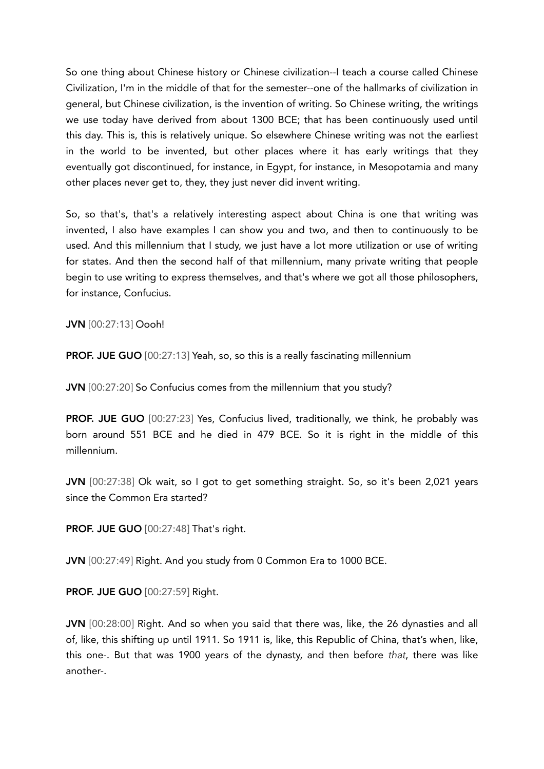So one thing about Chinese history or Chinese civilization--I teach a course called Chinese Civilization, I'm in the middle of that for the semester--one of the hallmarks of civilization in general, but Chinese civilization, is the invention of writing. So Chinese writing, the writings we use today have derived from about 1300 BCE; that has been continuously used until this day. This is, this is relatively unique. So elsewhere Chinese writing was not the earliest in the world to be invented, but other places where it has early writings that they eventually got discontinued, for instance, in Egypt, for instance, in Mesopotamia and many other places never get to, they, they just never did invent writing.

So, so that's, that's a relatively interesting aspect about China is one that writing was invented, I also have examples I can show you and two, and then to continuously to be used. And this millennium that I study, we just have a lot more utilization or use of writing for states. And then the second half of that millennium, many private writing that people begin to use writing to express themselves, and that's where we got all those philosophers, for instance, Confucius.

JVN [00:27:13] Oooh!

**PROF. JUE GUO** [00:27:13] Yeah, so, so this is a really fascinating millennium

JVN [00:27:20] So Confucius comes from the millennium that you study?

PROF. JUE GUO [00:27:23] Yes, Confucius lived, traditionally, we think, he probably was born around 551 BCE and he died in 479 BCE. So it is right in the middle of this millennium.

JVN [00:27:38] Ok wait, so I got to get something straight. So, so it's been 2,021 years since the Common Era started?

PROF. JUE GUO [00:27:48] That's right.

JVN [00:27:49] Right. And you study from 0 Common Era to 1000 BCE.

PROF. JUE GUO [00:27:59] Right.

JVN [00:28:00] Right. And so when you said that there was, like, the 26 dynasties and all of, like, this shifting up until 1911. So 1911 is, like, this Republic of China, that's when, like, this one-. But that was 1900 years of the dynasty, and then before *that*, there was like another-.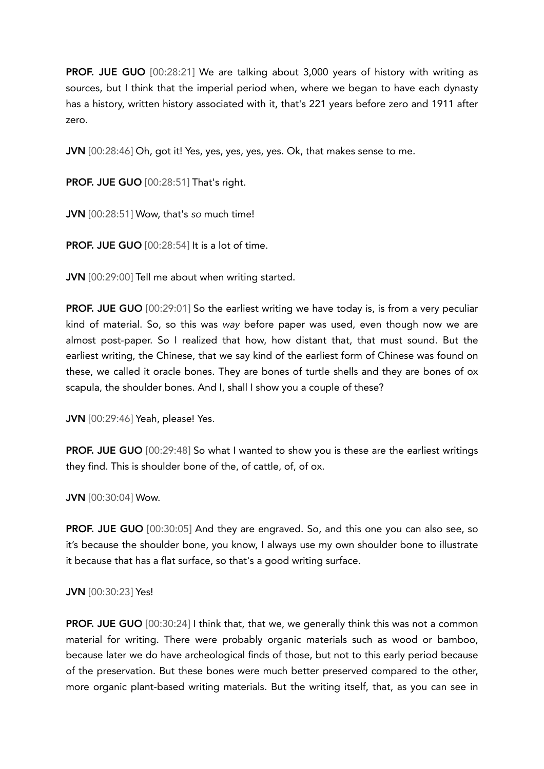PROF. JUE GUO [00:28:21] We are talking about 3,000 years of history with writing as sources, but I think that the imperial period when, where we began to have each dynasty has a history, written history associated with it, that's 221 years before zero and 1911 after zero.

JVN [00:28:46] Oh, got it! Yes, yes, yes, yes, yes. Ok, that makes sense to me.

PROF. JUE GUO [00:28:51] That's right.

JVN [00:28:51] Wow, that's *so* much time!

PROF. JUE GUO [00:28:54] It is a lot of time.

JVN [00:29:00] Tell me about when writing started.

PROF. JUE GUO [00:29:01] So the earliest writing we have today is, is from a very peculiar kind of material. So, so this was *way* before paper was used, even though now we are almost post-paper. So I realized that how, how distant that, that must sound. But the earliest writing, the Chinese, that we say kind of the earliest form of Chinese was found on these, we called it oracle bones. They are bones of turtle shells and they are bones of ox scapula, the shoulder bones. And I, shall I show you a couple of these?

JVN [00:29:46] Yeah, please! Yes.

**PROF. JUE GUO** [00:29:48] So what I wanted to show you is these are the earliest writings they find. This is shoulder bone of the, of cattle, of, of ox.

JVN [00:30:04] Wow.

PROF. JUE GUO [00:30:05] And they are engraved. So, and this one you can also see, so it's because the shoulder bone, you know, I always use my own shoulder bone to illustrate it because that has a flat surface, so that's a good writing surface.

# JVN [00:30:23] Yes!

PROF. JUE GUO [00:30:24] I think that, that we, we generally think this was not a common material for writing. There were probably organic materials such as wood or bamboo, because later we do have archeological finds of those, but not to this early period because of the preservation. But these bones were much better preserved compared to the other, more organic plant-based writing materials. But the writing itself, that, as you can see in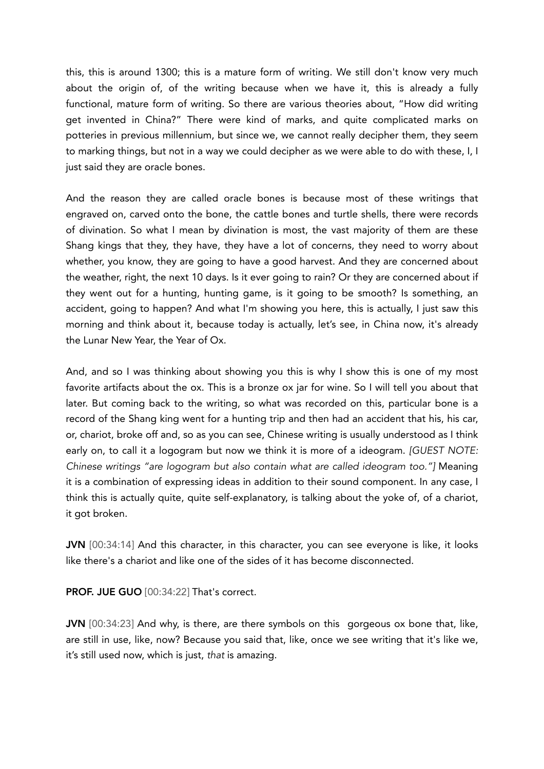this, this is around 1300; this is a mature form of writing. We still don't know very much about the origin of, of the writing because when we have it, this is already a fully functional, mature form of writing. So there are various theories about, "How did writing get invented in China?" There were kind of marks, and quite complicated marks on potteries in previous millennium, but since we, we cannot really decipher them, they seem to marking things, but not in a way we could decipher as we were able to do with these, I, I just said they are oracle bones.

And the reason they are called oracle bones is because most of these writings that engraved on, carved onto the bone, the cattle bones and turtle shells, there were records of divination. So what I mean by divination is most, the vast majority of them are these Shang kings that they, they have, they have a lot of concerns, they need to worry about whether, you know, they are going to have a good harvest. And they are concerned about the weather, right, the next 10 days. Is it ever going to rain? Or they are concerned about if they went out for a hunting, hunting game, is it going to be smooth? Is something, an accident, going to happen? And what I'm showing you here, this is actually, I just saw this morning and think about it, because today is actually, let's see, in China now, it's already the Lunar New Year, the Year of Ox.

And, and so I was thinking about showing you this is why I show this is one of my most favorite artifacts about the ox. This is a bronze ox jar for wine. So I will tell you about that later. But coming back to the writing, so what was recorded on this, particular bone is a record of the Shang king went for a hunting trip and then had an accident that his, his car, or, chariot, broke off and, so as you can see, Chinese writing is usually understood as I think early on, to call it a logogram but now we think it is more of a ideogram. *[GUEST NOTE: Chinese writings "are logogram but also contain what are called ideogram too."]* Meaning it is a combination of expressing ideas in addition to their sound component. In any case, I think this is actually quite, quite self-explanatory, is talking about the yoke of, of a chariot, it got broken.

JVN [00:34:14] And this character, in this character, you can see everyone is like, it looks like there's a chariot and like one of the sides of it has become disconnected.

PROF. JUE GUO [00:34:22] That's correct.

JVN [00:34:23] And why, is there, are there symbols on this gorgeous ox bone that, like, are still in use, like, now? Because you said that, like, once we see writing that it's like we, it's still used now, which is just, *that* is amazing.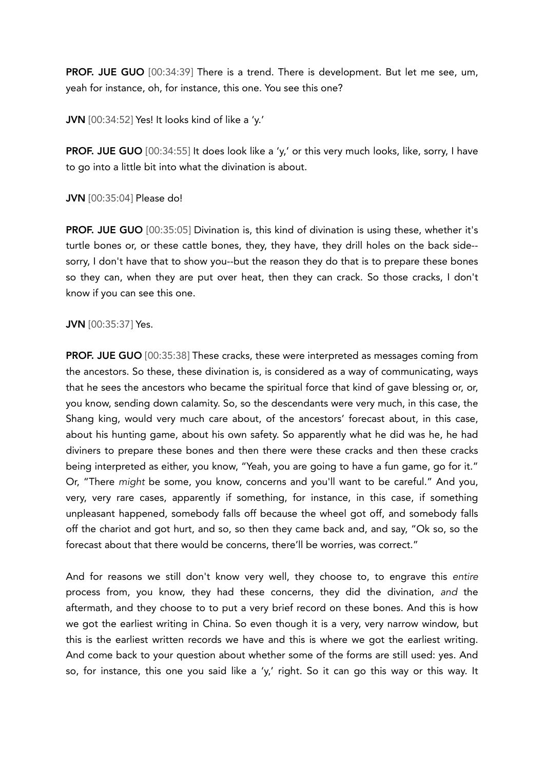**PROF. JUE GUO** [00:34:39] There is a trend. There is development. But let me see, um, yeah for instance, oh, for instance, this one. You see this one?

JVN [00:34:52] Yes! It looks kind of like a 'y.'

**PROF. JUE GUO** [00:34:55] It does look like a 'y,' or this very much looks, like, sorry, I have to go into a little bit into what the divination is about.

JVN [00:35:04] Please do!

PROF. JUE GUO [00:35:05] Divination is, this kind of divination is using these, whether it's turtle bones or, or these cattle bones, they, they have, they drill holes on the back side- sorry, I don't have that to show you--but the reason they do that is to prepare these bones so they can, when they are put over heat, then they can crack. So those cracks, I don't know if you can see this one.

#### JVN [00:35:37] Yes.

PROF. JUE GUO [00:35:38] These cracks, these were interpreted as messages coming from the ancestors. So these, these divination is, is considered as a way of communicating, ways that he sees the ancestors who became the spiritual force that kind of gave blessing or, or, you know, sending down calamity. So, so the descendants were very much, in this case, the Shang king, would very much care about, of the ancestors' forecast about, in this case, about his hunting game, about his own safety. So apparently what he did was he, he had diviners to prepare these bones and then there were these cracks and then these cracks being interpreted as either, you know, "Yeah, you are going to have a fun game, go for it." Or, "There *might* be some, you know, concerns and you'll want to be careful." And you, very, very rare cases, apparently if something, for instance, in this case, if something unpleasant happened, somebody falls off because the wheel got off, and somebody falls off the chariot and got hurt, and so, so then they came back and, and say, "Ok so, so the forecast about that there would be concerns, there'll be worries, was correct."

And for reasons we still don't know very well, they choose to, to engrave this *entire* process from, you know, they had these concerns, they did the divination, *and* the aftermath, and they choose to to put a very brief record on these bones. And this is how we got the earliest writing in China. So even though it is a very, very narrow window, but this is the earliest written records we have and this is where we got the earliest writing. And come back to your question about whether some of the forms are still used: yes. And so, for instance, this one you said like a 'y,' right. So it can go this way or this way. It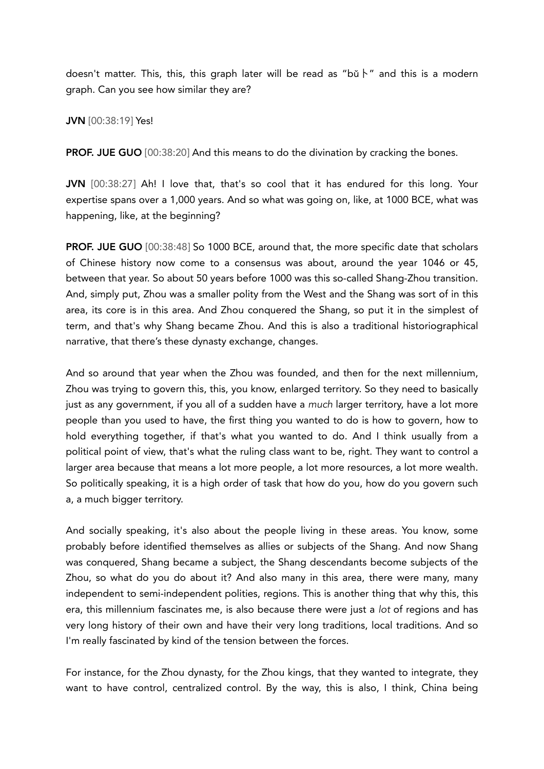doesn't matter. This, this, this graph later will be read as "bǔ \" and this is a modern graph. Can you see how similar they are?

JVN [00:38:19] Yes!

PROF. JUE GUO [00:38:20] And this means to do the divination by cracking the bones.

JVN [00:38:27] Ah! I love that, that's so cool that it has endured for this long. Your expertise spans over a 1,000 years. And so what was going on, like, at 1000 BCE, what was happening, like, at the beginning?

PROF. JUE GUO [00:38:48] So 1000 BCE, around that, the more specific date that scholars of Chinese history now come to a consensus was about, around the year 1046 or 45, between that year. So about 50 years before 1000 was this so-called Shang-Zhou transition. And, simply put, Zhou was a smaller polity from the West and the Shang was sort of in this area, its core is in this area. And Zhou conquered the Shang, so put it in the simplest of term, and that's why Shang became Zhou. And this is also a traditional historiographical narrative, that there's these dynasty exchange, changes.

And so around that year when the Zhou was founded, and then for the next millennium, Zhou was trying to govern this, this, you know, enlarged territory. So they need to basically just as any government, if you all of a sudden have a *much* larger territory, have a lot more people than you used to have, the first thing you wanted to do is how to govern, how to hold everything together, if that's what you wanted to do. And I think usually from a political point of view, that's what the ruling class want to be, right. They want to control a larger area because that means a lot more people, a lot more resources, a lot more wealth. So politically speaking, it is a high order of task that how do you, how do you govern such a, a much bigger territory.

And socially speaking, it's also about the people living in these areas. You know, some probably before identified themselves as allies or subjects of the Shang. And now Shang was conquered, Shang became a subject, the Shang descendants become subjects of the Zhou, so what do you do about it? And also many in this area, there were many, many independent to semi-independent polities, regions. This is another thing that why this, this era, this millennium fascinates me, is also because there were just a *lot* of regions and has very long history of their own and have their very long traditions, local traditions. And so I'm really fascinated by kind of the tension between the forces.

For instance, for the Zhou dynasty, for the Zhou kings, that they wanted to integrate, they want to have control, centralized control. By the way, this is also, I think, China being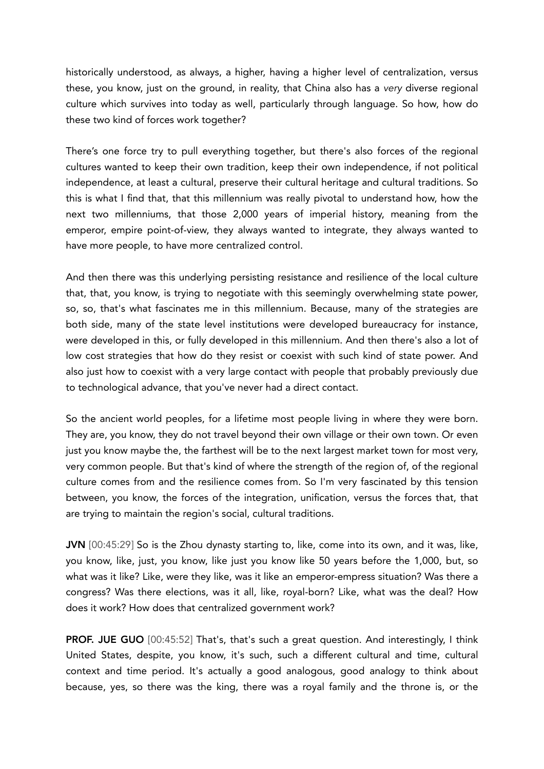historically understood, as always, a higher, having a higher level of centralization, versus these, you know, just on the ground, in reality, that China also has a *very* diverse regional culture which survives into today as well, particularly through language. So how, how do these two kind of forces work together?

There's one force try to pull everything together, but there's also forces of the regional cultures wanted to keep their own tradition, keep their own independence, if not political independence, at least a cultural, preserve their cultural heritage and cultural traditions. So this is what I find that, that this millennium was really pivotal to understand how, how the next two millenniums, that those 2,000 years of imperial history, meaning from the emperor, empire point-of-view, they always wanted to integrate, they always wanted to have more people, to have more centralized control.

And then there was this underlying persisting resistance and resilience of the local culture that, that, you know, is trying to negotiate with this seemingly overwhelming state power, so, so, that's what fascinates me in this millennium. Because, many of the strategies are both side, many of the state level institutions were developed bureaucracy for instance, were developed in this, or fully developed in this millennium. And then there's also a lot of low cost strategies that how do they resist or coexist with such kind of state power. And also just how to coexist with a very large contact with people that probably previously due to technological advance, that you've never had a direct contact.

So the ancient world peoples, for a lifetime most people living in where they were born. They are, you know, they do not travel beyond their own village or their own town. Or even just you know maybe the, the farthest will be to the next largest market town for most very, very common people. But that's kind of where the strength of the region of, of the regional culture comes from and the resilience comes from. So I'm very fascinated by this tension between, you know, the forces of the integration, unification, versus the forces that, that are trying to maintain the region's social, cultural traditions.

JVN [00:45:29] So is the Zhou dynasty starting to, like, come into its own, and it was, like, you know, like, just, you know, like just you know like 50 years before the 1,000, but, so what was it like? Like, were they like, was it like an emperor-empress situation? Was there a congress? Was there elections, was it all, like, royal-born? Like, what was the deal? How does it work? How does that centralized government work?

PROF. JUE GUO [00:45:52] That's, that's such a great question. And interestingly, I think United States, despite, you know, it's such, such a different cultural and time, cultural context and time period. It's actually a good analogous, good analogy to think about because, yes, so there was the king, there was a royal family and the throne is, or the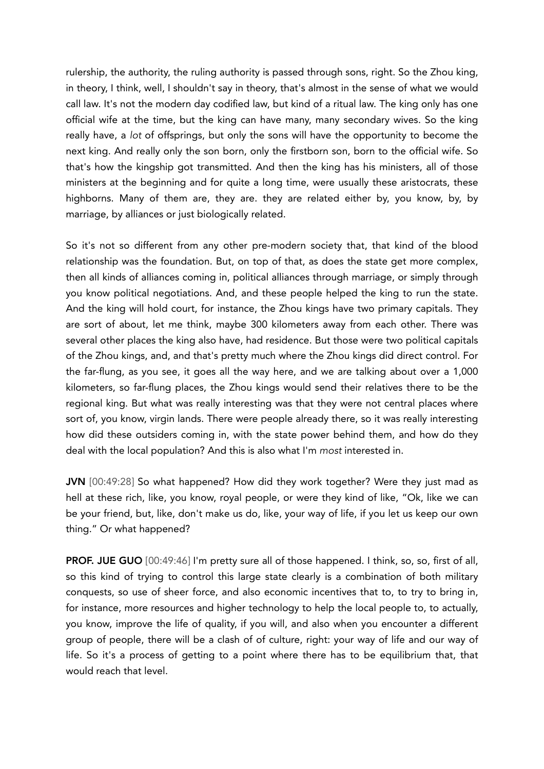rulership, the authority, the ruling authority is passed through sons, right. So the Zhou king, in theory, I think, well, I shouldn't say in theory, that's almost in the sense of what we would call law. It's not the modern day codified law, but kind of a ritual law. The king only has one official wife at the time, but the king can have many, many secondary wives. So the king really have, a *lot* of offsprings, but only the sons will have the opportunity to become the next king. And really only the son born, only the firstborn son, born to the official wife. So that's how the kingship got transmitted. And then the king has his ministers, all of those ministers at the beginning and for quite a long time, were usually these aristocrats, these highborns. Many of them are, they are. they are related either by, you know, by, by marriage, by alliances or just biologically related.

So it's not so different from any other pre-modern society that, that kind of the blood relationship was the foundation. But, on top of that, as does the state get more complex, then all kinds of alliances coming in, political alliances through marriage, or simply through you know political negotiations. And, and these people helped the king to run the state. And the king will hold court, for instance, the Zhou kings have two primary capitals. They are sort of about, let me think, maybe 300 kilometers away from each other. There was several other places the king also have, had residence. But those were two political capitals of the Zhou kings, and, and that's pretty much where the Zhou kings did direct control. For the far-flung, as you see, it goes all the way here, and we are talking about over a 1,000 kilometers, so far-flung places, the Zhou kings would send their relatives there to be the regional king. But what was really interesting was that they were not central places where sort of, you know, virgin lands. There were people already there, so it was really interesting how did these outsiders coming in, with the state power behind them, and how do they deal with the local population? And this is also what I'm *most* interested in.

JVN [00:49:28] So what happened? How did they work together? Were they just mad as hell at these rich, like, you know, royal people, or were they kind of like, "Ok, like we can be your friend, but, like, don't make us do, like, your way of life, if you let us keep our own thing." Or what happened?

PROF. JUE GUO [00:49:46] I'm pretty sure all of those happened. I think, so, so, first of all, so this kind of trying to control this large state clearly is a combination of both military conquests, so use of sheer force, and also economic incentives that to, to try to bring in, for instance, more resources and higher technology to help the local people to, to actually, you know, improve the life of quality, if you will, and also when you encounter a different group of people, there will be a clash of of culture, right: your way of life and our way of life. So it's a process of getting to a point where there has to be equilibrium that, that would reach that level.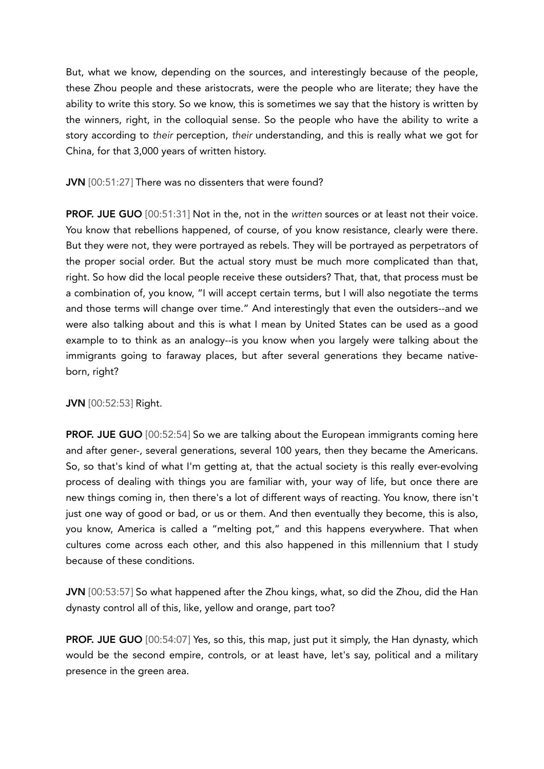But, what we know, depending on the sources, and interestingly because of the people, these Zhou people and these aristocrats, were the people who are literate; they have the ability to write this story. So we know, this is sometimes we say that the history is written by the winners, right, in the colloquial sense. So the people who have the ability to write a story according to *their* perception, *their* understanding, and this is really what we got for China, for that 3,000 years of written history.

# JVN [00:51:27] There was no dissenters that were found?

PROF. JUE GUO [00:51:31] Not in the, not in the *written* sources or at least not their voice. You know that rebellions happened, of course, of you know resistance, clearly were there. But they were not, they were portrayed as rebels. They will be portrayed as perpetrators of the proper social order. But the actual story must be much more complicated than that, right. So how did the local people receive these outsiders? That, that, that process must be a combination of, you know, "I will accept certain terms, but I will also negotiate the terms and those terms will change over time." And interestingly that even the outsiders--and we were also talking about and this is what I mean by United States can be used as a good example to to think as an analogy--is you know when you largely were talking about the immigrants going to faraway places, but after several generations they became nativeborn, right?

# JVN [00:52:53] Right.

PROF. JUE GUO [00:52:54] So we are talking about the European immigrants coming here and after gener-, several generations, several 100 years, then they became the Americans. So, so that's kind of what I'm getting at, that the actual society is this really ever-evolving process of dealing with things you are familiar with, your way of life, but once there are new things coming in, then there's a lot of different ways of reacting. You know, there isn't just one way of good or bad, or us or them. And then eventually they become, this is also, you know, America is called a "melting pot," and this happens everywhere. That when cultures come across each other, and this also happened in this millennium that I study because of these conditions.

JVN [00:53:57] So what happened after the Zhou kings, what, so did the Zhou, did the Han dynasty control all of this, like, yellow and orange, part too?

PROF. JUE GUO [00:54:07] Yes, so this, this map, just put it simply, the Han dynasty, which would be the second empire, controls, or at least have, let's say, political and a military presence in the green area.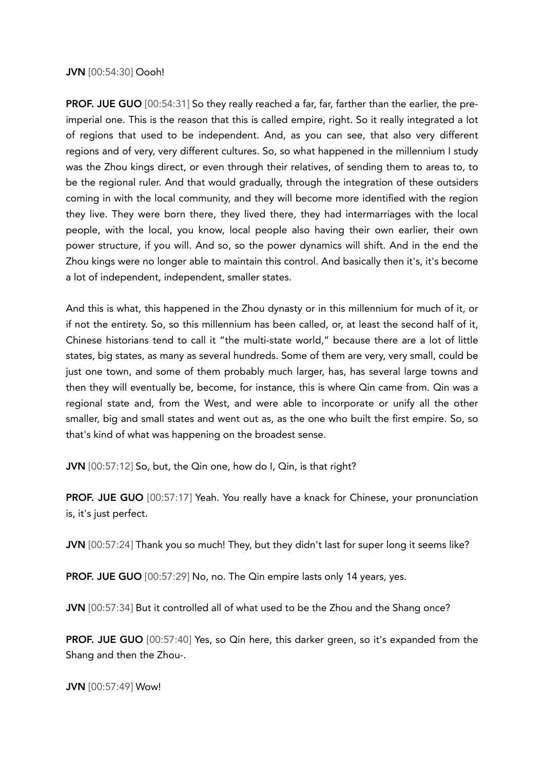## JVN [00:54:30] Oooh!

**PROF. JUE GUO** [00:54:31] So they really reached a far, far, farther than the earlier, the preimperial one. This is the reason that this is called empire, right. So it really integrated a lot of regions that used to be independent. And, as you can see, that also very different regions and of very, very different cultures. So, so what happened in the millennium I study was the Zhou kings direct, or even through their relatives, of sending them to areas to, to be the regional ruler. And that would gradually, through the integration of these outsiders coming in with the local community, and they will become more identified with the region they live. They were born there, they lived there, they had intermarriages with the local people, with the local, you know, local people also having their own earlier, their own power structure, if you will. And so, so the power dynamics will shift. And in the end the Zhou kings were no longer able to maintain this control. And basically then it's, it's become a lot of independent, independent, smaller states.

And this is what, this happened in the Zhou dynasty or in this millennium for much of it, or if not the entirety. So, so this millennium has been called, or, at least the second half of it, Chinese historians tend to call it "the multi-state world," because there are a lot of little states, big states, as many as several hundreds. Some of them are very, very small, could be just one town, and some of them probably much larger, has, has several large towns and then they will eventually be, become, for instance, this is where Qin came from. Qin was a regional state and, from the West, and were able to incorporate or unify all the other smaller, big and small states and went out as, as the one who built the first empire. So, so that's kind of what was happening on the broadest sense.

JVN [00:57:12] So, but, the Qin one, how do I, Qin, is that right?

PROF. JUE GUO [00:57:17] Yeah. You really have a knack for Chinese, your pronunciation is, it's just perfect.

JVN [00:57:24] Thank you so much! They, but they didn't last for super long it seems like?

PROF. JUE GUO [00:57:29] No, no. The Qin empire lasts only 14 years, yes.

JVN [00:57:34] But it controlled all of what used to be the Zhou and the Shang once?

PROF. JUE GUO [00:57:40] Yes, so Qin here, this darker green, so it's expanded from the Shang and then the Zhou-.

JVN [00:57:49] Wow!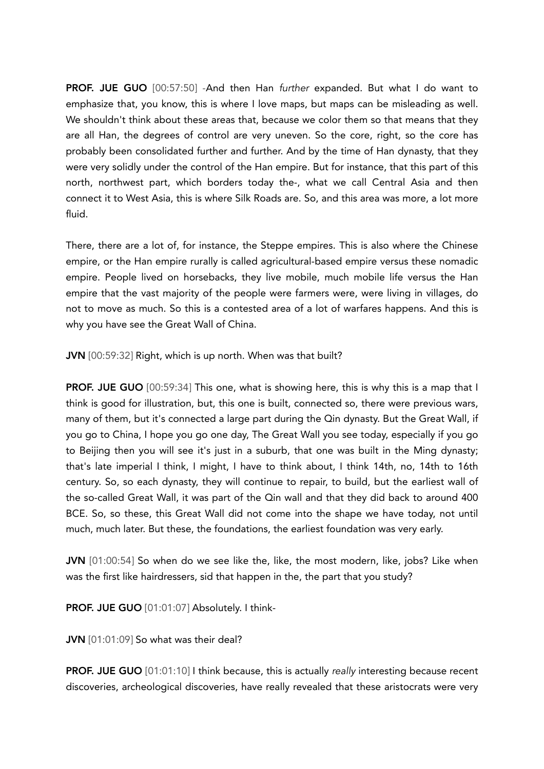PROF. JUE GUO [00:57:50] -And then Han *further* expanded. But what I do want to emphasize that, you know, this is where I love maps, but maps can be misleading as well. We shouldn't think about these areas that, because we color them so that means that they are all Han, the degrees of control are very uneven. So the core, right, so the core has probably been consolidated further and further. And by the time of Han dynasty, that they were very solidly under the control of the Han empire. But for instance, that this part of this north, northwest part, which borders today the-, what we call Central Asia and then connect it to West Asia, this is where Silk Roads are. So, and this area was more, a lot more fluid.

There, there are a lot of, for instance, the Steppe empires. This is also where the Chinese empire, or the Han empire rurally is called agricultural-based empire versus these nomadic empire. People lived on horsebacks, they live mobile, much mobile life versus the Han empire that the vast majority of the people were farmers were, were living in villages, do not to move as much. So this is a contested area of a lot of warfares happens. And this is why you have see the Great Wall of China.

JVN [00:59:32] Right, which is up north. When was that built?

PROF. JUE GUO [00:59:34] This one, what is showing here, this is why this is a map that I think is good for illustration, but, this one is built, connected so, there were previous wars, many of them, but it's connected a large part during the Qin dynasty. But the Great Wall, if you go to China, I hope you go one day, The Great Wall you see today, especially if you go to Beijing then you will see it's just in a suburb, that one was built in the Ming dynasty; that's late imperial I think, I might, I have to think about, I think 14th, no, 14th to 16th century. So, so each dynasty, they will continue to repair, to build, but the earliest wall of the so-called Great Wall, it was part of the Qin wall and that they did back to around 400 BCE. So, so these, this Great Wall did not come into the shape we have today, not until much, much later. But these, the foundations, the earliest foundation was very early.

JVN [01:00:54] So when do we see like the, like, the most modern, like, jobs? Like when was the first like hairdressers, sid that happen in the, the part that you study?

PROF. JUE GUO [01:01:07] Absolutely. I think-

JVN [01:01:09] So what was their deal?

**PROF. JUE GUO** [01:01:10] I think because, this is actually *really* interesting because recent discoveries, archeological discoveries, have really revealed that these aristocrats were very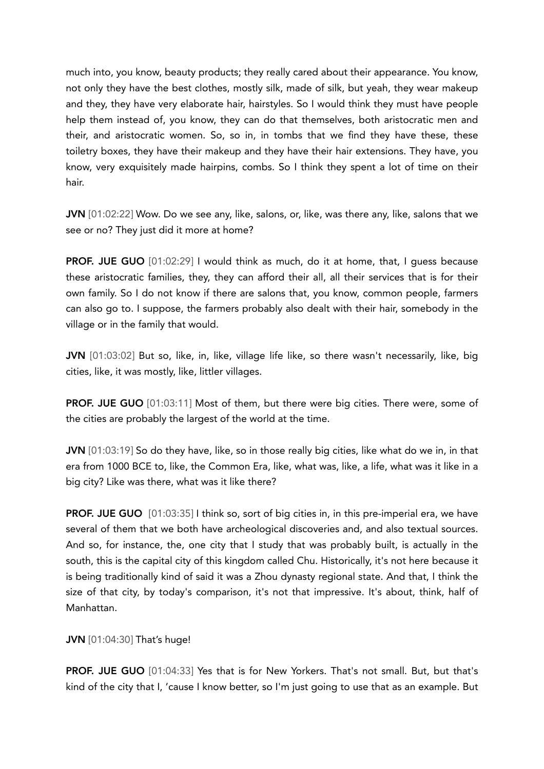much into, you know, beauty products; they really cared about their appearance. You know, not only they have the best clothes, mostly silk, made of silk, but yeah, they wear makeup and they, they have very elaborate hair, hairstyles. So I would think they must have people help them instead of, you know, they can do that themselves, both aristocratic men and their, and aristocratic women. So, so in, in tombs that we find they have these, these toiletry boxes, they have their makeup and they have their hair extensions. They have, you know, very exquisitely made hairpins, combs. So I think they spent a lot of time on their hair.

JVN [01:02:22] Wow. Do we see any, like, salons, or, like, was there any, like, salons that we see or no? They just did it more at home?

PROF. JUE GUO [01:02:29] I would think as much, do it at home, that, I guess because these aristocratic families, they, they can afford their all, all their services that is for their own family. So I do not know if there are salons that, you know, common people, farmers can also go to. I suppose, the farmers probably also dealt with their hair, somebody in the village or in the family that would.

JVN [01:03:02] But so, like, in, like, village life like, so there wasn't necessarily, like, big cities, like, it was mostly, like, littler villages.

PROF. JUE GUO [01:03:11] Most of them, but there were big cities. There were, some of the cities are probably the largest of the world at the time.

JVN [01:03:19] So do they have, like, so in those really big cities, like what do we in, in that era from 1000 BCE to, like, the Common Era, like, what was, like, a life, what was it like in a big city? Like was there, what was it like there?

**PROF. JUE GUO** [01:03:35] I think so, sort of big cities in, in this pre-imperial era, we have several of them that we both have archeological discoveries and, and also textual sources. And so, for instance, the, one city that I study that was probably built, is actually in the south, this is the capital city of this kingdom called Chu. Historically, it's not here because it is being traditionally kind of said it was a Zhou dynasty regional state. And that, I think the size of that city, by today's comparison, it's not that impressive. It's about, think, half of Manhattan.

JVN [01:04:30] That's huge!

PROF. JUE GUO [01:04:33] Yes that is for New Yorkers. That's not small. But, but that's kind of the city that I, 'cause I know better, so I'm just going to use that as an example. But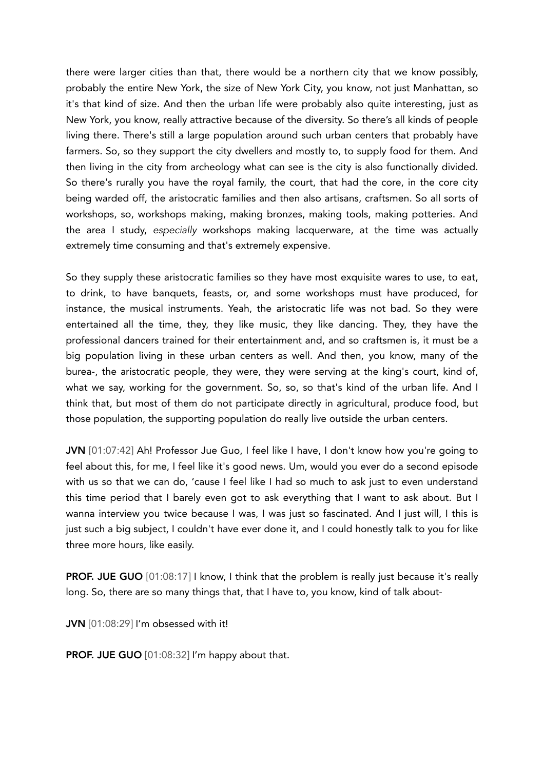there were larger cities than that, there would be a northern city that we know possibly, probably the entire New York, the size of New York City, you know, not just Manhattan, so it's that kind of size. And then the urban life were probably also quite interesting, just as New York, you know, really attractive because of the diversity. So there's all kinds of people living there. There's still a large population around such urban centers that probably have farmers. So, so they support the city dwellers and mostly to, to supply food for them. And then living in the city from archeology what can see is the city is also functionally divided. So there's rurally you have the royal family, the court, that had the core, in the core city being warded off, the aristocratic families and then also artisans, craftsmen. So all sorts of workshops, so, workshops making, making bronzes, making tools, making potteries. And the area I study, *especially* workshops making lacquerware, at the time was actually extremely time consuming and that's extremely expensive.

So they supply these aristocratic families so they have most exquisite wares to use, to eat, to drink, to have banquets, feasts, or, and some workshops must have produced, for instance, the musical instruments. Yeah, the aristocratic life was not bad. So they were entertained all the time, they, they like music, they like dancing. They, they have the professional dancers trained for their entertainment and, and so craftsmen is, it must be a big population living in these urban centers as well. And then, you know, many of the burea-, the aristocratic people, they were, they were serving at the king's court, kind of, what we say, working for the government. So, so, so that's kind of the urban life. And I think that, but most of them do not participate directly in agricultural, produce food, but those population, the supporting population do really live outside the urban centers.

JVN [01:07:42] Ah! Professor Jue Guo, I feel like I have, I don't know how you're going to feel about this, for me, I feel like it's good news. Um, would you ever do a second episode with us so that we can do, 'cause I feel like I had so much to ask just to even understand this time period that I barely even got to ask everything that I want to ask about. But I wanna interview you twice because I was, I was just so fascinated. And I just will, I this is just such a big subject, I couldn't have ever done it, and I could honestly talk to you for like three more hours, like easily.

PROF. JUE GUO [01:08:17] I know, I think that the problem is really just because it's really long. So, there are so many things that, that I have to, you know, kind of talk about-

JVN [01:08:29] I'm obsessed with it!

PROF. JUE GUO [01:08:32] I'm happy about that.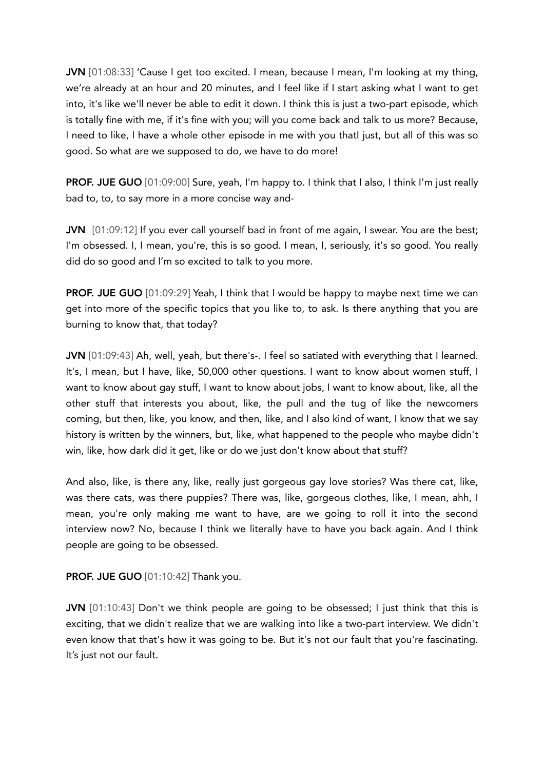JVN [01:08:33] 'Cause I get too excited. I mean, because I mean, I'm looking at my thing, we're already at an hour and 20 minutes, and I feel like if I start asking what I want to get into, it's like we'll never be able to edit it down. I think this is just a two-part episode, which is totally fine with me, if it's fine with you; will you come back and talk to us more? Because, I need to like, I have a whole other episode in me with you thatI just, but all of this was so good. So what are we supposed to do, we have to do more!

**PROF. JUE GUO** [01:09:00] Sure, yeah, I'm happy to. I think that I also, I think I'm just really bad to, to, to say more in a more concise way and-

JVN [01:09:12] If you ever call yourself bad in front of me again, I swear. You are the best; I'm obsessed. I, I mean, you're, this is so good. I mean, I, seriously, it's so good. You really did do so good and I'm so excited to talk to you more.

PROF. JUE GUO [01:09:29] Yeah, I think that I would be happy to maybe next time we can get into more of the specific topics that you like to, to ask. Is there anything that you are burning to know that, that today?

JVN [01:09:43] Ah, well, yeah, but there's-. I feel so satiated with everything that I learned. It's, I mean, but I have, like, 50,000 other questions. I want to know about women stuff, I want to know about gay stuff, I want to know about jobs, I want to know about, like, all the other stuff that interests you about, like, the pull and the tug of like the newcomers coming, but then, like, you know, and then, like, and I also kind of want, I know that we say history is written by the winners, but, like, what happened to the people who maybe didn't win, like, how dark did it get, like or do we just don't know about that stuff?

And also, like, is there any, like, really just gorgeous gay love stories? Was there cat, like, was there cats, was there puppies? There was, like, gorgeous clothes, like, I mean, ahh, I mean, you're only making me want to have, are we going to roll it into the second interview now? No, because I think we literally have to have you back again. And I think people are going to be obsessed.

# PROF. JUE GUO [01:10:42] Thank you.

JVN [01:10:43] Don't we think people are going to be obsessed; I just think that this is exciting, that we didn't realize that we are walking into like a two-part interview. We didn't even know that that's how it was going to be. But it's not our fault that you're fascinating. It's just not our fault.